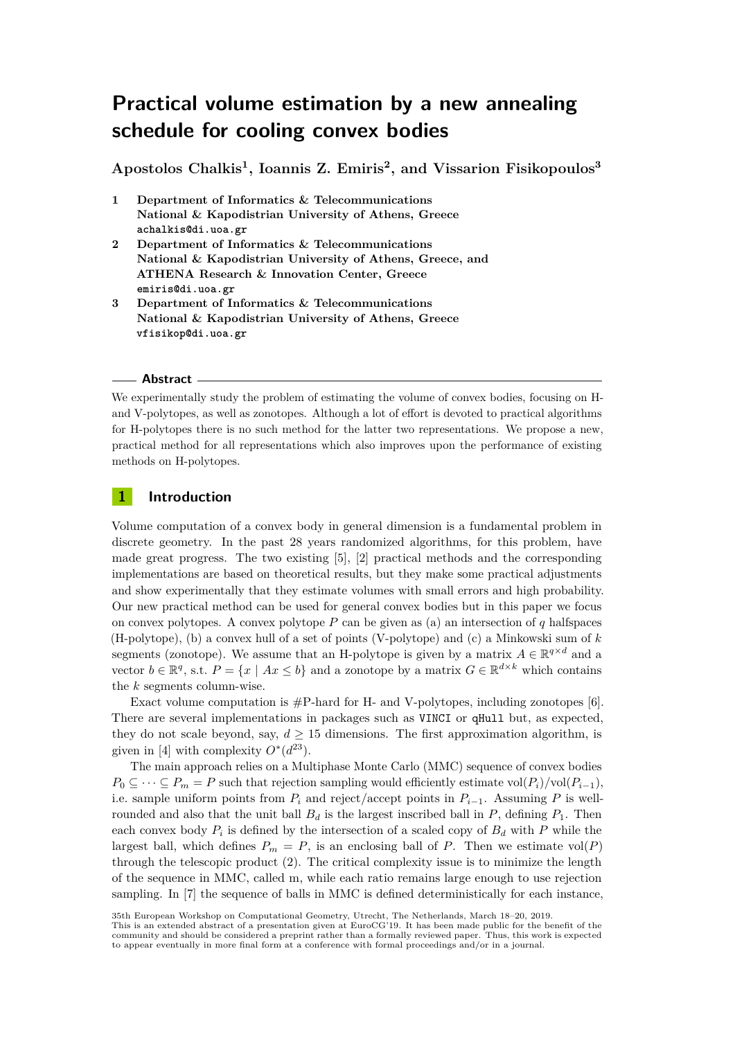# **Practical volume estimation by a new annealing schedule for cooling convex bodies**

**Apostolos Chalkis<sup>1</sup> , Ioannis Z. Emiris<sup>2</sup> , and Vissarion Fisikopoulos<sup>3</sup>**

- **1 Department of Informatics & Telecommunications National & Kapodistrian University of Athens, Greece achalkis@di.uoa.gr**
- **2 Department of Informatics & Telecommunications National & Kapodistrian University of Athens, Greece, and ATHENA Research & Innovation Center, Greece emiris@di.uoa.gr**
- **3 Department of Informatics & Telecommunications National & Kapodistrian University of Athens, Greece vfisikop@di.uoa.gr**

#### **Abstract**

We experimentally study the problem of estimating the volume of convex bodies, focusing on Hand V-polytopes, as well as zonotopes. Although a lot of effort is devoted to practical algorithms for H-polytopes there is no such method for the latter two representations. We propose a new, practical method for all representations which also improves upon the performance of existing methods on H-polytopes.

## **1 Introduction**

Volume computation of a convex body in general dimension is a fundamental problem in discrete geometry. In the past 28 years randomized algorithms, for this problem, have made great progress. The two existing [\[5\]](#page-5-0), [\[2\]](#page-5-1) practical methods and the corresponding implementations are based on theoretical results, but they make some practical adjustments and show experimentally that they estimate volumes with small errors and high probability. Our new practical method can be used for general convex bodies but in this paper we focus on convex polytopes. A convex polytope *P* can be given as (a) an intersection of *q* halfspaces (H-polytope), (b) a convex hull of a set of points (V-polytope) and (c) a Minkowski sum of *k* segments (zonotope). We assume that an H-polytope is given by a matrix  $A \in \mathbb{R}^{q \times d}$  and a vector  $b \in \mathbb{R}^q$ , s.t.  $P = \{x \mid Ax \leq b\}$  and a zonotope by a matrix  $G \in \mathbb{R}^{d \times k}$  which contains the *k* segments column-wise.

Exact volume computation is  $\#P$ -hard for H- and V-polytopes, including zonotopes [\[6\]](#page-5-2). There are several implementations in packages such as VINCI or qHull but, as expected, they do not scale beyond, say,  $d \geq 15$  dimensions. The first approximation algorithm, is given in [\[4\]](#page-5-3) with complexity  $O^*(d^{23})$ .

The main approach relies on a Multiphase Monte Carlo (MMC) sequence of convex bodies  $P_0 \subseteq \cdots \subseteq P_m = P$  such that rejection sampling would efficiently estimate vol $(P_i)/\text{vol}(P_{i-1})$ , i.e. sample uniform points from  $P_i$  and reject/accept points in  $P_{i-1}$ . Assuming P is wellrounded and also that the unit ball  $B_d$  is the largest inscribed ball in  $P$ , defining  $P_1$ . Then each convex body  $P_i$  is defined by the intersection of a scaled copy of  $B_d$  with  $P$  while the largest ball, which defines  $P_m = P$ , is an enclosing ball of *P*. Then we estimate vol(*P*) through the telescopic product [\(2\)](#page-2-0). The critical complexity issue is to minimize the length of the sequence in MMC, called m, while each ratio remains large enough to use rejection sampling. In [\[7\]](#page-5-4) the sequence of balls in MMC is defined deterministically for each instance,

<sup>35</sup>th European Workshop on Computational Geometry, Utrecht, The Netherlands, March 18–20, 2019.

This is an extended abstract of a presentation given at EuroCG'19. It has been made public for the benefit of the<br>community and should be considered a preprint rather than a formally reviewed paper. Thus, this work is expe to appear eventually in more final form at a conference with formal proceedings and/or in a journal.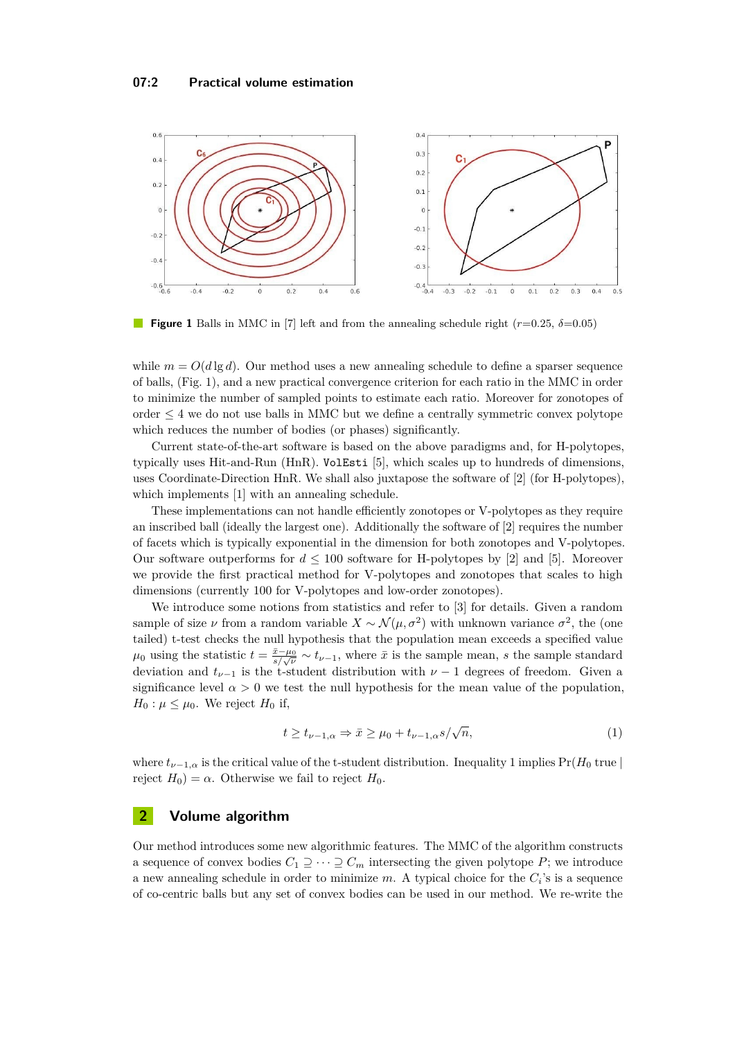<span id="page-1-0"></span>

**Figure 1** Balls in MMC in [\[7\]](#page-5-4) left and from the annealing schedule right (*r*=0.25, *δ*=0.05)

while  $m = O(d \lg d)$ . Our method uses a new annealing schedule to define a sparser sequence of balls, (Fig. [1\)](#page-1-0), and a new practical convergence criterion for each ratio in the MMC in order to minimize the number of sampled points to estimate each ratio. Moreover for zonotopes of order  $\leq$  4 we do not use balls in MMC but we define a centrally symmetric convex polytope which reduces the number of bodies (or phases) significantly.

Current state-of-the-art software is based on the above paradigms and, for H-polytopes, typically uses Hit-and-Run (HnR). VolEsti [\[5\]](#page-5-0), which scales up to hundreds of dimensions, uses Coordinate-Direction HnR. We shall also juxtapose the software of [\[2\]](#page-5-1) (for H-polytopes), which implements [\[1\]](#page-4-0) with an annealing schedule.

These implementations can not handle efficiently zonotopes or V-polytopes as they require an inscribed ball (ideally the largest one). Additionally the software of [\[2\]](#page-5-1) requires the number of facets which is typically exponential in the dimension for both zonotopes and V-polytopes. Our software outperforms for  $d \leq 100$  software for H-polytopes by [\[2\]](#page-5-1) and [\[5\]](#page-5-0). Moreover we provide the first practical method for V-polytopes and zonotopes that scales to high dimensions (currently 100 for V-polytopes and low-order zonotopes).

We introduce some notions from statistics and refer to [\[3\]](#page-5-5) for details. Given a random sample of size  $\nu$  from a random variable  $X \sim \mathcal{N}(\mu, \sigma^2)$  with unknown variance  $\sigma^2$ , the (one tailed) t-test checks the null hypothesis that the population mean exceeds a specified value  $\mu_0$  using the statistic  $t = \frac{\bar{x} - \mu_0}{s/\sqrt{\nu}} \sim t_{\nu-1}$ , where  $\bar{x}$  is the sample mean, *s* the sample standard deviation and  $t_{\nu-1}$  is the t-student distribution with  $\nu-1$  degrees of freedom. Given a significance level  $\alpha > 0$  we test the null hypothesis for the mean value of the population,  $H_0: \mu \leq \mu_0$ . We reject  $H_0$  if,

<span id="page-1-1"></span>
$$
t \ge t_{\nu-1,\alpha} \Rightarrow \bar{x} \ge \mu_0 + t_{\nu-1,\alpha} s / \sqrt{n},\tag{1}
$$

where  $t_{\nu-1,\alpha}$  is the critical value of the t-student distribution. Inequality [1](#page-1-1) implies Pr( $H_0$  true) reject  $H_0$ ) =  $\alpha$ . Otherwise we fail to reject  $H_0$ .

## **2 Volume algorithm**

Our method introduces some new algorithmic features. The MMC of the algorithm constructs a sequence of convex bodies  $C_1 \supseteq \cdots \supseteq C_m$  intersecting the given polytope P; we introduce a new annealing schedule in order to minimize  $m$ . A typical choice for the  $C_i$ 's is a sequence of co-centric balls but any set of convex bodies can be used in our method. We re-write the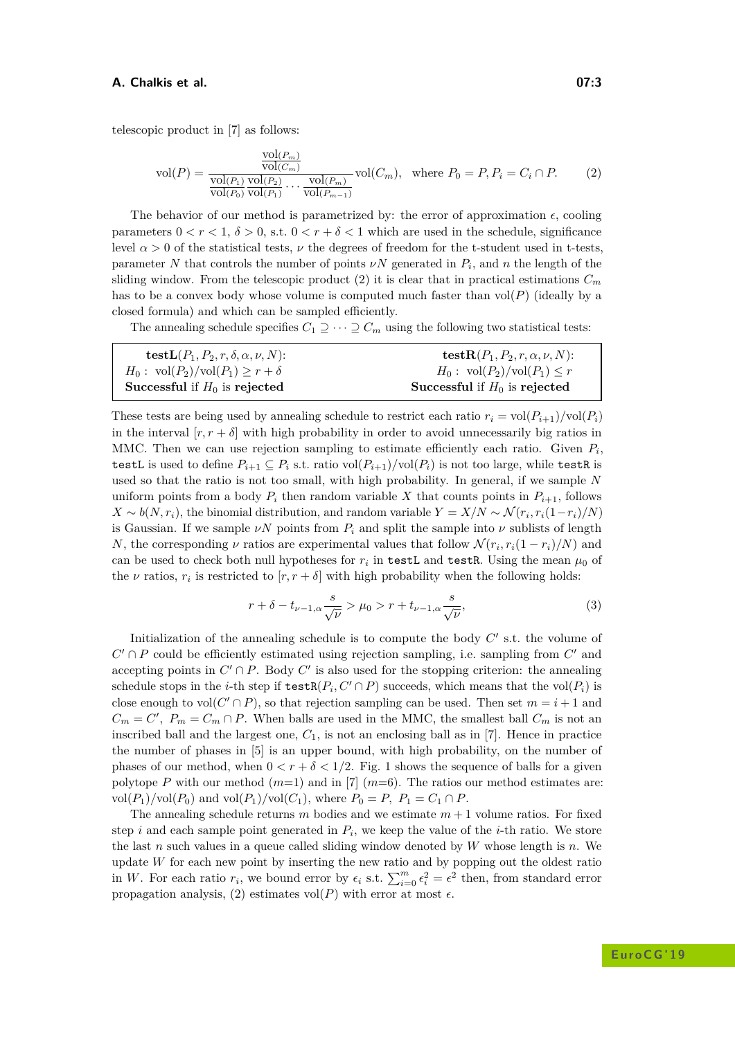#### **A. Chalkis et al. 07:3**

telescopic product in [\[7\]](#page-5-4) as follows:

<span id="page-2-0"></span>
$$
\text{vol}(P) = \frac{\frac{\text{vol}(P_m)}{\text{vol}(C_m)}}{\frac{\text{vol}(P_1)}{\text{vol}(P_0)} \frac{\text{vol}(P_2)}{\text{vol}(P_1)} \cdots \frac{\text{vol}(P_m)}{\text{vol}(P_{m-1})}} \text{vol}(C_m), \quad \text{where } P_0 = P, P_i = C_i \cap P. \tag{2}
$$

The behavior of our method is parametrized by: the error of approximation  $\epsilon$ , cooling parameters  $0 < r < 1$ ,  $\delta > 0$ , s.t.  $0 < r + \delta < 1$  which are used in the schedule, significance level  $\alpha > 0$  of the statistical tests,  $\nu$  the degrees of freedom for the t-student used in t-tests, parameter *N* that controls the number of points  $\nu N$  generated in  $P_i$ , and *n* the length of the sliding window. From the telescopic product [\(2\)](#page-2-0) it is clear that in practical estimations  $C_m$ has to be a convex body whose volume is computed much faster than vol(*P*) (ideally by a closed formula) and which can be sampled efficiently.

The annealing schedule specifies  $C_1 \supseteq \cdots \supseteq C_m$  using the following two statistical tests:

| $\textbf{testL}(P_1, P_2, r, \delta, \alpha, \nu, N)$ :              | test $\mathbf{R}(P_1, P_2, r, \alpha, \nu, N)$ : |
|----------------------------------------------------------------------|--------------------------------------------------|
| $H_0: \operatorname{vol}(P_2)/\operatorname{vol}(P_1) \geq r+\delta$ | $H_0: \text{vol}(P_2)/\text{vol}(P_1) \leq r$    |
| Successful if $H_0$ is rejected                                      | Successful if $H_0$ is rejected                  |

These tests are being used by annealing schedule to restrict each ratio  $r_i = \text{vol}(P_{i+1})/\text{vol}(P_i)$ in the interval  $[r, r + \delta]$  with high probability in order to avoid unnecessarily big ratios in MMC. Then we can use rejection sampling to estimate efficiently each ratio. Given  $P_i$ , testL is used to define  $P_{i+1} \subseteq P_i$  s.t. ratio vol $(P_{i+1})$ /vol $(P_i)$  is not too large, while testR is used so that the ratio is not too small, with high probability. In general, if we sample *N* uniform points from a body  $P_i$  then random variable X that counts points in  $P_{i+1}$ , follows *X* ∼ *b*(*N*, *r*<sub>*i*</sub>), the binomial distribution, and random variable *Y* = *X*/*N* ∼  $\mathcal{N}(r_i, r_i(1-r_i)/N)$ is Gaussian. If we sample  $\nu N$  points from  $P_i$  and split the sample into  $\nu$  sublists of length *N*, the corresponding *ν* ratios are experimental values that follow  $\mathcal{N}(r_i, r_i(1 - r_i)/N)$  and can be used to check both null hypotheses for  $r_i$  in testL and testR. Using the mean  $\mu_0$  of the  $\nu$  ratios,  $r_i$  is restricted to  $[r, r + \delta]$  with high probability when the following holds:

$$
r + \delta - t_{\nu - 1, \alpha} \frac{s}{\sqrt{\nu}} > \mu_0 > r + t_{\nu - 1, \alpha} \frac{s}{\sqrt{\nu}},
$$
\n(3)

Initialization of the annealing schedule is to compute the body  $C'$  s.t. the volume of  $C' \cap P$  could be efficiently estimated using rejection sampling, i.e. sampling from  $C'$  and accepting points in  $C' \cap P$ . Body  $C'$  is also used for the stopping criterion: the annealing schedule stops in the *i*-th step if  $\texttt{testR}(P_i, C' \cap P)$  succeeds, which means that the vol $(P_i)$  is close enough to vol $(C' \cap P)$ , so that rejection sampling can be used. Then set  $m = i + 1$  and  $C_m = C'$ ,  $P_m = C_m \cap P$ . When balls are used in the MMC, the smallest ball  $C_m$  is not an inscribed ball and the largest one, *C*1, is not an enclosing ball as in [\[7\]](#page-5-4). Hence in practice the number of phases in [\[5\]](#page-5-0) is an upper bound, with high probability, on the number of phases of our method, when  $0 < r + \delta < 1/2$  $0 < r + \delta < 1/2$  $0 < r + \delta < 1/2$ . Fig. 1 shows the sequence of balls for a given polytope *P* with our method  $(m=1)$  and in [\[7\]](#page-5-4)  $(m=6)$ . The ratios our method estimates are: vol $(P_1)/$ vol $(P_0)$  and vol $(P_1)/$ vol $(C_1)$ , where  $P_0 = P$ ,  $P_1 = C_1 \cap P$ .

The annealing schedule returns *m* bodies and we estimate *m* + 1 volume ratios. For fixed step *i* and each sample point generated in *P<sup>i</sup>* , we keep the value of the *i*-th ratio. We store the last *n* such values in a queue called sliding window denoted by *W* whose length is *n*. We update *W* for each new point by inserting the new ratio and by popping out the oldest ratio in *W*. For each ratio  $r_i$ , we bound error by  $\epsilon_i$  s.t.  $\sum_{i=0}^{m} \epsilon_i^2 = \epsilon^2$  then, from standard error propagation analysis, [\(2\)](#page-2-0) estimates vol( $P$ ) with error at most  $\epsilon$ .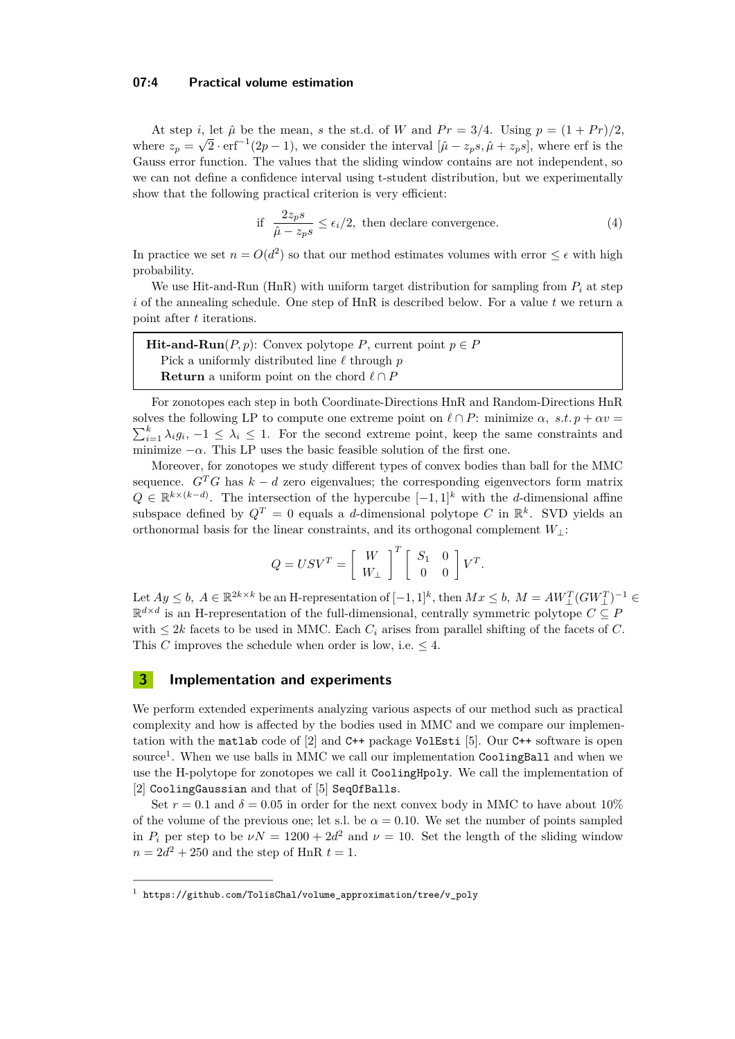### **07:4 Practical volume estimation**

At step *i*, let  $\hat{\mu}$  be the mean, *s* the st.d. of *W* and  $Pr = 3/4$ . Using  $p = (1 + Pr)/2$ , where  $z_p = \sqrt{2} \cdot erf^{-1}(2p-1)$ , we consider the interval  $[\hat{\mu} - z_p s, \hat{\mu} + z_p s]$ , where erf is the Gauss error function. The values that the sliding window contains are not independent, so we can not define a confidence interval using t-student distribution, but we experimentally show that the following practical criterion is very efficient:

if 
$$
\frac{2z_ps}{\hat{\mu} - z_ps} \le \epsilon_i/2
$$
, then declare convergence. (4)

In practice we set  $n = O(d^2)$  so that our method estimates volumes with error  $\leq \epsilon$  with high probability.

We use Hit-and-Run (HnR) with uniform target distribution for sampling from  $P_i$  at step *i* of the annealing schedule. One step of HnR is described below. For a value *t* we return a point after *t* iterations.

| <b>Hit-and-Run</b> $(P, p)$ : Convex polytope P, current point $p \in P$ |  |  |  |  |  |
|--------------------------------------------------------------------------|--|--|--|--|--|
| Pick a uniformly distributed line $\ell$ through p                       |  |  |  |  |  |
| <b>Return</b> a uniform point on the chord $\ell \cap P$                 |  |  |  |  |  |

For zonotopes each step in both Coordinate-Directions HnR and Random-Directions HnR solves the following LP to compute one extreme point on  $\ell \cap P$ : minimize  $\alpha$ , s.t.  $p + \alpha v =$  $\sum_{i=1}^{k} \lambda_i g_i$ ,  $-1 \leq \lambda_i \leq 1$ . For the second extreme point, keep the same constraints and minimize  $-\alpha$ . This LP uses the basic feasible solution of the first one.

Moreover, for zonotopes we study different types of convex bodies than ball for the MMC sequence.  $G^T G$  has  $k - d$  zero eigenvalues; the corresponding eigenvectors form matrix  $Q \in \mathbb{R}^{k \times (k-d)}$ . The intersection of the hypercube  $[-1, 1]^k$  with the *d*-dimensional affine subspace defined by  $Q^T = 0$  equals a *d*-dimensional polytope *C* in  $\mathbb{R}^k$ . SVD yields an orthonormal basis for the linear constraints, and its orthogonal complement *W*⊥:

$$
Q = USV^T = \left[ \begin{array}{c} W \\ W_{\perp} \end{array} \right]^T \left[ \begin{array}{cc} S_1 & 0 \\ 0 & 0 \end{array} \right] V^T.
$$

Let  $Ay \leq b$ ,  $A \in \mathbb{R}^{2k \times k}$  be an H-representation of  $[-1, 1]^k$ , then  $Mx \leq b$ ,  $M = AW_{\perp}^T(GW_{\perp}^T)^{-1} \in$  $\mathbb{R}^{d \times d}$  is an H-representation of the full-dimensional, centrally symmetric polytope  $C \subseteq P$ with  $\leq 2k$  facets to be used in MMC. Each  $C_i$  arises from parallel shifting of the facets of  $C$ . This *C* improves the schedule when order is low, i.e.  $\leq 4$ .

## **3 Implementation and experiments**

We perform extended experiments analyzing various aspects of our method such as practical complexity and how is affected by the bodies used in MMC and we compare our implementation with the matlab code of [\[2\]](#page-5-1) and C++ package VolEsti [\[5\]](#page-5-0). Our C++ software is open source<sup>[1](#page-3-0)</sup>. When we use balls in MMC we call our implementation CoolingBall and when we use the H-polytope for zonotopes we call it CoolingHpoly. We call the implementation of [\[2\]](#page-5-1) CoolingGaussian and that of [\[5\]](#page-5-0) SeqOfBalls.

Set  $r = 0.1$  and  $\delta = 0.05$  in order for the next convex body in MMC to have about 10% of the volume of the previous one; let s.l. be  $\alpha = 0.10$ . We set the number of points sampled in  $P_i$  per step to be  $\nu N = 1200 + 2d^2$  and  $\nu = 10$ . Set the length of the sliding window  $n = 2d^2 + 250$  and the step of HnR  $t = 1$ .

<span id="page-3-0"></span><sup>1</sup> [https://github.com/TolisChal/volume\\_approximation/tree/v\\_poly](https://github.com/TolisChal/volume_approximation/tree/v_poly)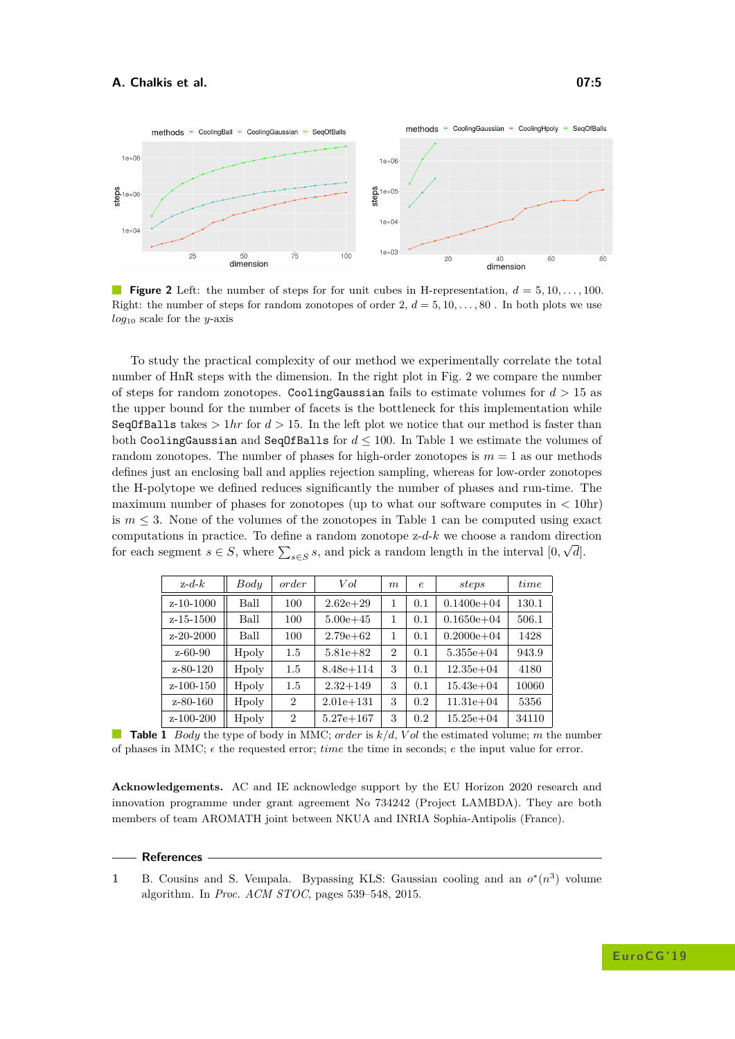<span id="page-4-1"></span>

**Figure 2** Left: the number of steps for for unit cubes in H-representation,  $d = 5, 10, \ldots, 100$ . Right: the number of steps for random zonotopes of order  $2, d = 5, 10, \ldots, 80$ . In both plots we use *log*<sup>10</sup> scale for the *y*-axis

To study the practical complexity of our method we experimentally correlate the total number of HnR steps with the dimension. In the right plot in Fig. [2](#page-4-1) we compare the number of steps for random zonotopes. CoolingGaussian fails to estimate volumes for  $d > 15$  as the upper bound for the number of facets is the bottleneck for this implementation while SeqOfBalls takes  $> 1hr$  for  $d > 15$ . In the left plot we notice that our method is faster than both CoolingGaussian and Seq0fBalls for  $d \le 100$  $d \le 100$  $d \le 100$ . In Table 1 we estimate the volumes of random zonotopes. The number of phases for high-order zonotopes is  $m = 1$  as our methods defines just an enclosing ball and applies rejection sampling, whereas for low-order zonotopes the H-polytope we defined reduces significantly the number of phases and run-time. The maximum number of phases for zonotopes (up to what our software computes in *<* 10hr) is  $m \leq 3$ . None of the volumes of the zonotopes in Table [1](#page-4-2) can be computed using exact computations in practice. To define a random zonotope  $z-d-k$  we choose a random direction for each segment  $s \in S$ , where  $\sum_{s \in S} s$ , and pick a random length in the interval  $[0, \sqrt{d}]$ .

| $z-d-k$         | Body  | order          | Vol           | m              | $\epsilon$ | steps          | time  |
|-----------------|-------|----------------|---------------|----------------|------------|----------------|-------|
| $z-10-1000$     | Ball  | 100            | $2.62e + 29$  | 1              | 0.1        | $0.1400e + 04$ | 130.1 |
| z-15-1500       | Ball  | 100            | $5.00e + 45$  | 1              | 0.1        | $0.1650e + 04$ | 506.1 |
| $z - 20 - 2000$ | Ball  | 100            | $2.79e + 62$  | 1              | 0.1        | $0.2000e + 04$ | 1428  |
| $z - 60 - 90$   | Hpoly | 1.5            | $5.81e + 82$  | $\overline{2}$ | 0.1        | $5.355e+04$    | 943.9 |
| $z - 80 - 120$  | Hpoly | 1.5            | $8.48e + 114$ | 3              | 0.1        | $12.35e + 04$  | 4180  |
| z-100-150       | Hpoly | 1.5            | $2.32 + 149$  | 3              | 0.1        | $15.43e + 04$  | 10060 |
| $z - 80 - 160$  | Hpoly | $\overline{2}$ | $2.01e + 131$ | 3              | 0.2        | $11.31e + 04$  | 5356  |
| $z - 100 - 200$ | Hpoly | 2              | $5.27e + 167$ | 3              | 0.2        | $15.25e + 04$  | 34110 |

<span id="page-4-2"></span>**Table 1** *Body* the type of body in MMC; *order* is  $k/d$ , *Vol* the estimated volume; *m* the number of phases in MMC;  $\epsilon$  the requested error; *time* the time in seconds;  $e$  the input value for error.

**Acknowledgements.** AC and IE acknowledge support by the EU Horizon 2020 research and innovation programme under grant agreement No 734242 (Project LAMBDA). They are both members of team AROMATH joint between NKUA and INRIA Sophia-Antipolis (France).

#### **References**

<span id="page-4-0"></span>**1** B. Cousins and S. Vempala. Bypassing KLS: Gaussian cooling and an  $o^*(n^3)$  volume algorithm. In *Proc. ACM STOC*, pages 539–548, 2015.